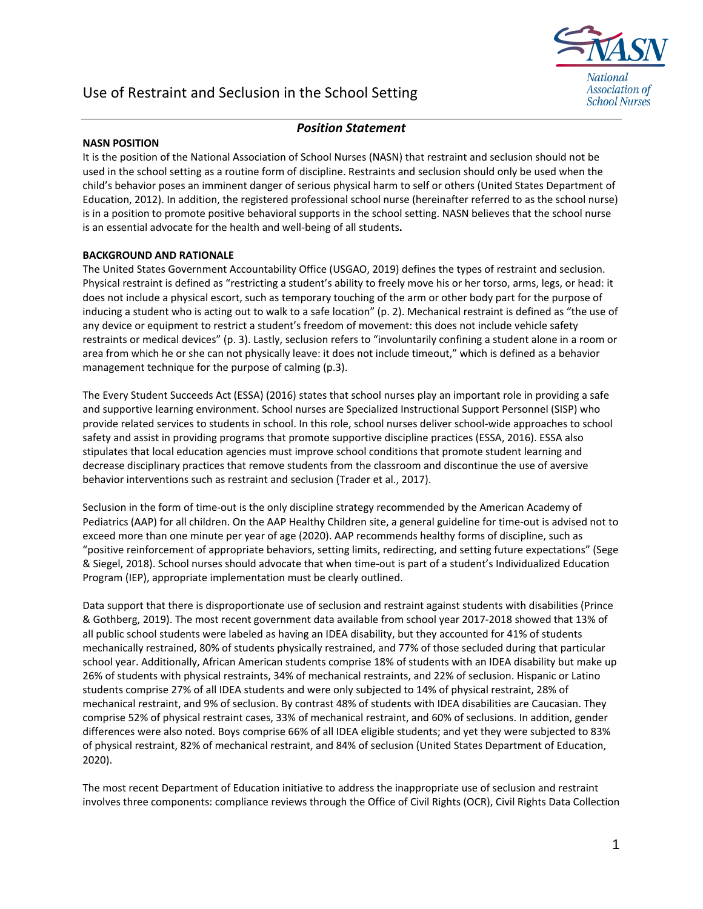

# Use of Restraint and Seclusion in the School Setting

## *Position Statement*

#### **NASN POSITION**

It is the position of the National Association of School Nurses (NASN) that restraint and seclusion should not be used in the school setting as a routine form of discipline. Restraints and seclusion should only be used when the child's behavior poses an imminent danger of serious physical harm to self or others (United States Department of Education, 2012). In addition, the registered professional school nurse (hereinafter referred to as the school nurse) is in a position to promote positive behavioral supports in the school setting. NASN believes that the school nurse is an essential advocate for the health and well-being of all students**.** 

### **BACKGROUND AND RATIONALE**

The United States Government Accountability Office (USGAO, 2019) defines the types of restraint and seclusion. Physical restraint is defined as "restricting a student's ability to freely move his or her torso, arms, legs, or head: it does not include a physical escort, such as temporary touching of the arm or other body part for the purpose of inducing a student who is acting out to walk to a safe location" (p. 2). Mechanical restraint is defined as "the use of any device or equipment to restrict a student's freedom of movement: this does not include vehicle safety restraints or medical devices" (p. 3). Lastly, seclusion refers to "involuntarily confining a student alone in a room or area from which he or she can not physically leave: it does not include timeout," which is defined as a behavior management technique for the purpose of calming (p.3).

The Every Student Succeeds Act (ESSA) (2016) states that school nurses play an important role in providing a safe and supportive learning environment. School nurses are Specialized Instructional Support Personnel (SISP) who provide related services to students in school. In this role, school nurses deliver school-wide approaches to school safety and assist in providing programs that promote supportive discipline practices (ESSA, 2016). ESSA also stipulates that local education agencies must improve school conditions that promote student learning and decrease disciplinary practices that remove students from the classroom and discontinue the use of aversive behavior interventions such as restraint and seclusion (Trader et al., 2017).

Seclusion in the form of time-out is the only discipline strategy recommended by the American Academy of Pediatrics (AAP) for all children. On the AAP Healthy Children site, a general guideline for time-out is advised not to exceed more than one minute per year of age (2020). AAP recommends healthy forms of discipline, such as "positive reinforcement of appropriate behaviors, setting limits, redirecting, and setting future expectations" (Sege & Siegel, 2018). School nurses should advocate that when time-out is part of a student's Individualized Education Program (IEP), appropriate implementation must be clearly outlined.

Data support that there is disproportionate use of seclusion and restraint against students with disabilities (Prince & Gothberg, 2019). The most recent government data available from school year 2017-2018 showed that 13% of all public school students were labeled as having an IDEA disability, but they accounted for 41% of students mechanically restrained, 80% of students physically restrained, and 77% of those secluded during that particular school year. Additionally, African American students comprise 18% of students with an IDEA disability but make up 26% of students with physical restraints, 34% of mechanical restraints, and 22% of seclusion. Hispanic or Latino students comprise 27% of all IDEA students and were only subjected to 14% of physical restraint, 28% of mechanical restraint, and 9% of seclusion. By contrast 48% of students with IDEA disabilities are Caucasian. They comprise 52% of physical restraint cases, 33% of mechanical restraint, and 60% of seclusions. In addition, gender differences were also noted. Boys comprise 66% of all IDEA eligible students; and yet they were subjected to 83% of physical restraint, 82% of mechanical restraint, and 84% of seclusion (United States Department of Education, 2020).

The most recent Department of Education initiative to address the inappropriate use of seclusion and restraint involves three components: compliance reviews through the Office of Civil Rights (OCR), Civil Rights Data Collection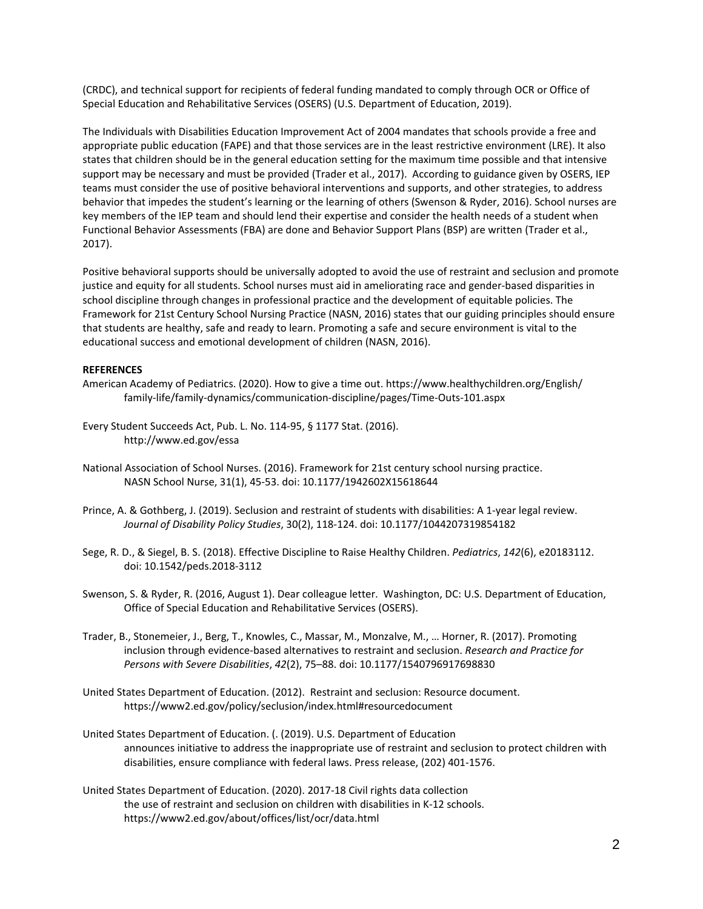(CRDC), and technical support for recipients of federal funding mandated to comply through OCR or Office of Special Education and Rehabilitative Services (OSERS) (U.S. Department of Education, 2019).

The Individuals with Disabilities Education Improvement Act of 2004 mandates that schools provide a free and appropriate public education (FAPE) and that those services are in the least restrictive environment (LRE). It also states that children should be in the general education setting for the maximum time possible and that intensive support may be necessary and must be provided (Trader et al., 2017). According to guidance given by OSERS, IEP teams must consider the use of positive behavioral interventions and supports, and other strategies, to address behavior that impedes the student's learning or the learning of others (Swenson & Ryder, 2016). School nurses are key members of the IEP team and should lend their expertise and consider the health needs of a student when Functional Behavior Assessments (FBA) are done and Behavior Support Plans (BSP) are written (Trader et al., 2017).

Positive behavioral supports should be universally adopted to avoid the use of restraint and seclusion and promote justice and equity for all students. School nurses must aid in ameliorating race and gender-based disparities in school discipline through changes in professional practice and the development of equitable policies. The Framework for 21st Century School Nursing Practice (NASN, 2016) states that our guiding principles should ensure that students are healthy, safe and ready to learn. Promoting a safe and secure environment is vital to the educational success and emotional development of children (NASN, 2016).

#### **REFERENCES**

- American Academy of Pediatrics. (2020). How to give a time out. https://www.healthychildren.org/English/ family-life/family-dynamics/communication-discipline/pages/Time-Outs-101.aspx
- Every Student Succeeds Act, Pub. L. No. 114-95, § 1177 Stat. (2016). http://www.ed.gov/essa
- National Association of School Nurses. (2016). Framework for 21st century school nursing practice. NASN School Nurse, 31(1), 45‐53. doi: 10.1177/1942602X15618644
- Prince, A. & Gothberg, J. (2019). Seclusion and restraint of students with disabilities: A 1-year legal review. *Journal of Disability Policy Studies*, 30(2), 118-124. doi: 10.1177/1044207319854182
- Sege, R. D., & Siegel, B. S. (2018). Effective Discipline to Raise Healthy Children. *Pediatrics*, *142*(6), e20183112. doi: 10.1542/peds.2018-3112
- Swenson, S. & Ryder, R. (2016, August 1). Dear colleague letter. Washington, DC: U.S. Department of Education, Office of Special Education and Rehabilitative Services (OSERS).
- Trader, B., Stonemeier, J., Berg, T., Knowles, C., Massar, M., Monzalve, M., … Horner, R. (2017). Promoting inclusion through evidence-based alternatives to restraint and seclusion. *Research and Practice for Persons with Severe Disabilities*, *42*(2), 75–88. doi: 10.1177/1540796917698830
- United States Department of Education. (2012). Restraint and seclusion: Resource document. https://www2.ed.gov/policy/seclusion/index.html[#resourcedocument](https://www2.ed.gov/policy/seclusion/index.html#resourcedocument)
- United States Department of Education. (. (2019). U.S. Department of Education announces initiative to address the inappropriate use of restraint and seclusion to protect children with disabilities, ensure compliance with federal laws. Press release, (202) 401-1576.
- United States Department of Education. (2020). 2017-18 Civil rights data collection the use of restraint and seclusion on children with disabilities in K-12 schools. <https://www2.ed.gov/about/offices/list/ocr/data.html>